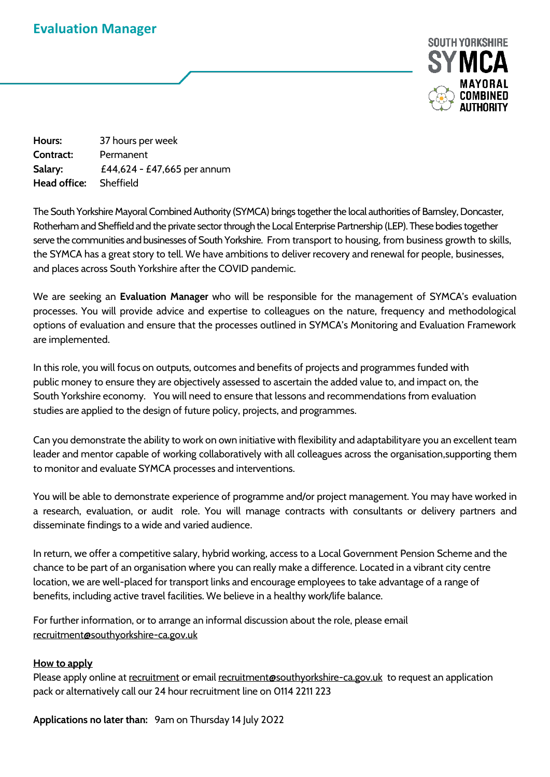

**Hours:** 37 hours per week **Contract:** Permanent **Salary:** £44,624 - £47,665 per annum **Head office:** Sheffield

The South Yorkshire Mayoral Combined Authority (SYMCA) brings together the local authorities of Barnsley, Doncaster, Rotherham and Sheffield and the private sector through the Local Enterprise Partnership (LEP). These bodies together serve the communities and businesses of South Yorkshire. From transport to housing, from business growth to skills, the SYMCA has a great story to tell. We have ambitions to deliver recovery and renewal for people, businesses, and places across South Yorkshire after the COVID pandemic.

We are seeking an **Evaluation Manager** who will be responsible for the management of SYMCA's evaluation processes. You will provide advice and expertise to colleagues on the nature, frequency and methodological options of evaluation and ensure that the processes outlined in SYMCA's Monitoring and Evaluation Framework are implemented.

In this role, you will focus on outputs, outcomes and benefits of projects and programmes funded with public money to ensure they are objectively assessed to ascertain the added value to, and impact on, the South Yorkshire economy. You will need to ensure that lessons and recommendations from evaluation studies are applied to the design of future policy, projects, and programmes.

Can you demonstrate the ability to work on own initiative with flexibility and adaptabilityare you an excellent team leader and mentor capable of working collaboratively with all colleagues across the organisation,supporting them to monitor and evaluate SYMCA processes and interventions.

You will be able to demonstrate experience of programme and/or project management. You may have worked in a research, evaluation, or audit role. You will manage contracts with consultants or delivery partners and disseminate findings to a wide and varied audience.

In return, we offer a competitive salary, hybrid working, access to a Local Government Pension Scheme and the chance to be part of an organisation where you can really make a difference. Located in a vibrant city centre location, we are well-placed for transport links and encourage employees to take advantage of a range of benefits, including active travel facilities. We believe in a healthy work/life balance.

For further information, or to arrange an informal discussion about the role, please email [recruitment@southyorkshire-ca.gov.uk](mailto:recruitment@southyorkshire-ca.gov.uk) 

## **How to apply**

Please apply online at [recruitment](https://sheffieldcityregion.org.uk/about-us-governance-policy/work-for-us/) or email [recruitment@southyorkshire-ca.gov.uk](mailto:recruitment@southyorkshire-ca.gov.uk) to request an application pack or alternatively call our 24 hour recruitment line on 0114 2211 223

**Applications no later than:** 9am on Thursday 14 July 2022